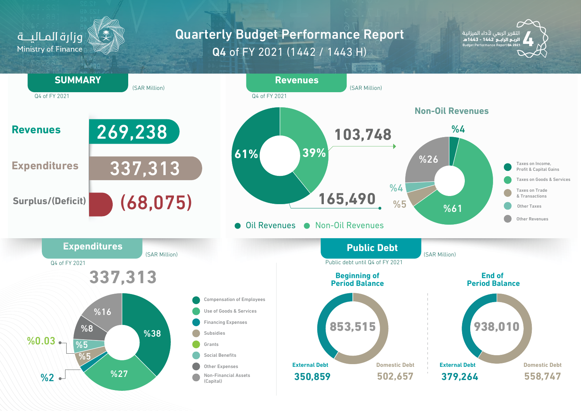

## Q4 of FY 2021 (1442 / 1443 H) **Quarterly Budget Performance Report**